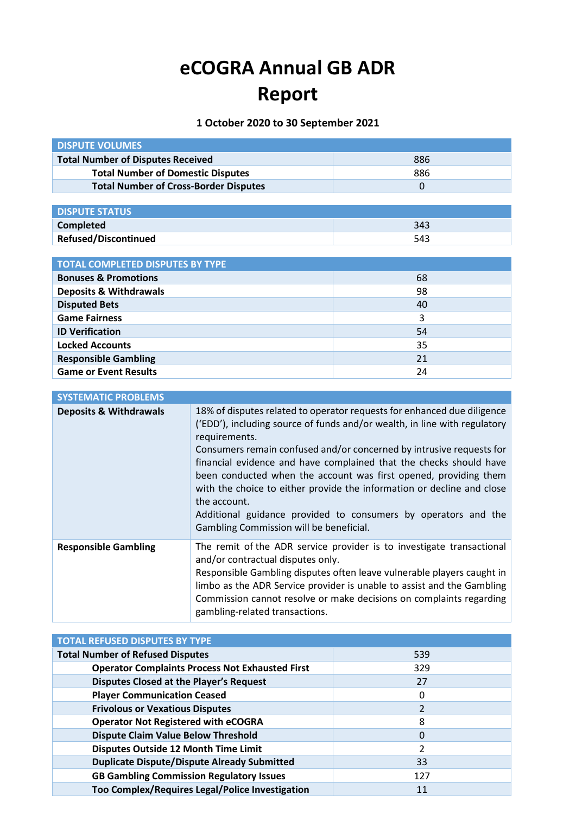## **eCOGRA Annual GB ADR Report**

**1 October 2020 to 30 September 2021**

| <b>DISPUTE VOLUMES</b>                       |     |
|----------------------------------------------|-----|
| <b>Total Number of Disputes Received</b>     | 886 |
| <b>Total Number of Domestic Disputes</b>     | 886 |
| <b>Total Number of Cross-Border Disputes</b> |     |
|                                              |     |

| <b>DISPUTE STATUS</b>       |     |
|-----------------------------|-----|
| <b>Completed</b>            | 343 |
| <b>Refused/Discontinued</b> | 543 |

| <b>TOTAL COMPLETED DISPUTES BY TYPE</b> |    |  |  |  |
|-----------------------------------------|----|--|--|--|
| <b>Bonuses &amp; Promotions</b>         | 68 |  |  |  |
| <b>Deposits &amp; Withdrawals</b>       | 98 |  |  |  |
| <b>Disputed Bets</b>                    | 40 |  |  |  |
| <b>Game Fairness</b>                    | 3  |  |  |  |
| <b>ID Verification</b>                  | 54 |  |  |  |
| <b>Locked Accounts</b>                  | 35 |  |  |  |
| <b>Responsible Gambling</b>             | 21 |  |  |  |
| <b>Game or Event Results</b>            | 24 |  |  |  |

| <b>SYSTEMATIC PROBLEMS</b>        |                                                                                                                                                                                                                                                                                                                                                                                                                                                                                                                                                                                                |
|-----------------------------------|------------------------------------------------------------------------------------------------------------------------------------------------------------------------------------------------------------------------------------------------------------------------------------------------------------------------------------------------------------------------------------------------------------------------------------------------------------------------------------------------------------------------------------------------------------------------------------------------|
| <b>Deposits &amp; Withdrawals</b> | 18% of disputes related to operator requests for enhanced due diligence<br>('EDD'), including source of funds and/or wealth, in line with regulatory<br>requirements.<br>Consumers remain confused and/or concerned by intrusive requests for<br>financial evidence and have complained that the checks should have<br>been conducted when the account was first opened, providing them<br>with the choice to either provide the information or decline and close<br>the account.<br>Additional guidance provided to consumers by operators and the<br>Gambling Commission will be beneficial. |
| <b>Responsible Gambling</b>       | The remit of the ADR service provider is to investigate transactional<br>and/or contractual disputes only.<br>Responsible Gambling disputes often leave vulnerable players caught in<br>limbo as the ADR Service provider is unable to assist and the Gambling<br>Commission cannot resolve or make decisions on complaints regarding<br>gambling-related transactions.                                                                                                                                                                                                                        |

| <b>TOTAL REFUSED DISPUTES BY TYPE</b>                  |     |
|--------------------------------------------------------|-----|
| <b>Total Number of Refused Disputes</b>                | 539 |
| <b>Operator Complaints Process Not Exhausted First</b> | 329 |
| <b>Disputes Closed at the Player's Request</b>         | 27  |
| <b>Player Communication Ceased</b>                     | 0   |
| <b>Frivolous or Vexatious Disputes</b>                 |     |
| <b>Operator Not Registered with eCOGRA</b>             | 8   |
| <b>Dispute Claim Value Below Threshold</b>             | 0   |
| Disputes Outside 12 Month Time Limit                   | 2   |
| <b>Duplicate Dispute/Dispute Already Submitted</b>     | 33  |
| <b>GB Gambling Commission Regulatory Issues</b>        | 127 |
| Too Complex/Requires Legal/Police Investigation        | 11  |